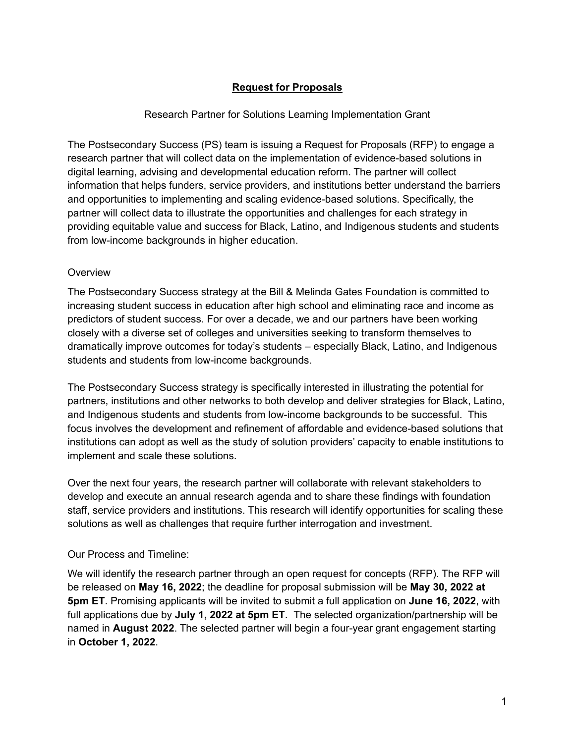# **Request for Proposals**

## Research Partner for Solutions Learning Implementation Grant

The Postsecondary Success (PS) team is issuing a Request for Proposals (RFP) to engage a research partner that will collect data on the implementation of evidence-based solutions in digital learning, advising and developmental education reform. The partner will collect information that helps funders, service providers, and institutions better understand the barriers and opportunities to implementing and scaling evidence-based solutions. Specifically, the partner will collect data to illustrate the opportunities and challenges for each strategy in providing equitable value and success for Black, Latino, and Indigenous students and students from low-income backgrounds in higher education.

### **Overview**

The Postsecondary Success strategy at the Bill & Melinda Gates Foundation is committed to increasing student success in education after high school and eliminating race and income as predictors of student success. For over a decade, we and our partners have been working closely with a diverse set of colleges and universities seeking to transform themselves to dramatically improve outcomes for today's students – especially Black, Latino, and Indigenous students and students from low-income backgrounds.

The Postsecondary Success strategy is specifically interested in illustrating the potential for partners, institutions and other networks to both develop and deliver strategies for Black, Latino, and Indigenous students and students from low-income backgrounds to be successful. This focus involves the development and refinement of affordable and evidence-based solutions that institutions can adopt as well as the study of solution providers' capacity to enable institutions to implement and scale these solutions.

Over the next four years, the research partner will collaborate with relevant stakeholders to develop and execute an annual research agenda and to share these findings with foundation staff, service providers and institutions. This research will identify opportunities for scaling these solutions as well as challenges that require further interrogation and investment.

### Our Process and Timeline:

We will identify the research partner through an open request for concepts (RFP). The RFP will be released on **May 16, 2022**; the deadline for proposal submission will be **May 30, 2022 at 5pm ET**. Promising applicants will be invited to submit a full application on **June 16, 2022**, with full applications due by **July 1, 2022 at 5pm ET**. The selected organization/partnership will be named in **August 2022**. The selected partner will begin a four-year grant engagement starting in **October 1, 2022**.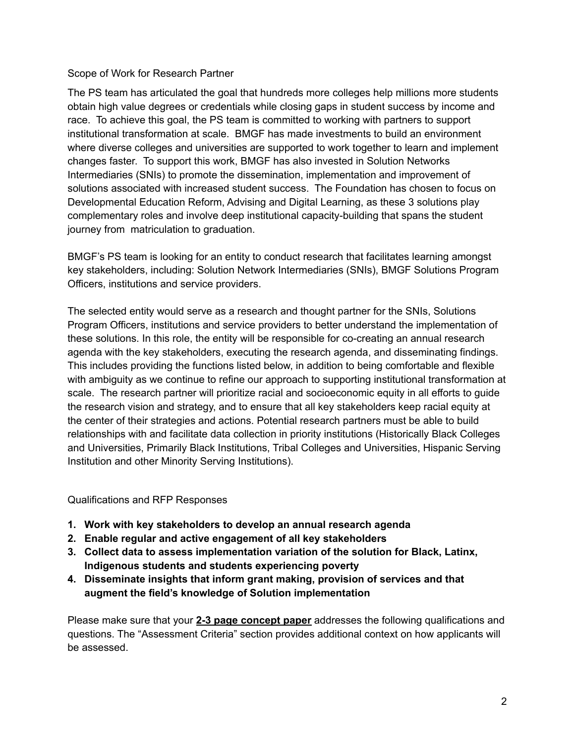## Scope of Work for Research Partner

The PS team has articulated the goal that hundreds more colleges help millions more students obtain high value degrees or credentials while closing gaps in student success by income and race. To achieve this goal, the PS team is committed to working with partners to support institutional transformation at scale. BMGF has made investments to build an environment where diverse colleges and universities are supported to work together to learn and implement changes faster. To support this work, BMGF has also invested in Solution Networks Intermediaries (SNIs) to promote the dissemination, implementation and improvement of solutions associated with increased student success. The Foundation has chosen to focus on Developmental Education Reform, Advising and Digital Learning, as these 3 solutions play complementary roles and involve deep institutional capacity-building that spans the student journey from matriculation to graduation.

BMGF's PS team is looking for an entity to conduct research that facilitates learning amongst key stakeholders, including: Solution Network Intermediaries (SNIs), BMGF Solutions Program Officers, institutions and service providers.

The selected entity would serve as a research and thought partner for the SNIs, Solutions Program Officers, institutions and service providers to better understand the implementation of these solutions. In this role, the entity will be responsible for co-creating an annual research agenda with the key stakeholders, executing the research agenda, and disseminating findings. This includes providing the functions listed below, in addition to being comfortable and flexible with ambiguity as we continue to refine our approach to supporting institutional transformation at scale. The research partner will prioritize racial and socioeconomic equity in all efforts to guide the research vision and strategy, and to ensure that all key stakeholders keep racial equity at the center of their strategies and actions. Potential research partners must be able to build relationships with and facilitate data collection in priority institutions (Historically Black Colleges and Universities, Primarily Black Institutions, Tribal Colleges and Universities, Hispanic Serving Institution and other Minority Serving Institutions).

## Qualifications and RFP Responses

- **1. Work with key stakeholders to develop an annual research agenda**
- **2. Enable regular and active engagement of all key stakeholders**
- **3. Collect data to assess implementation variation of the solution for Black, Latinx, Indigenous students and students experiencing poverty**
- **4. Disseminate insights that inform grant making, provision of services and that augment the field's knowledge of Solution implementation**

Please make sure that your **2-3 page concept paper** addresses the following qualifications and questions. The "Assessment Criteria" section provides additional context on how applicants will be assessed.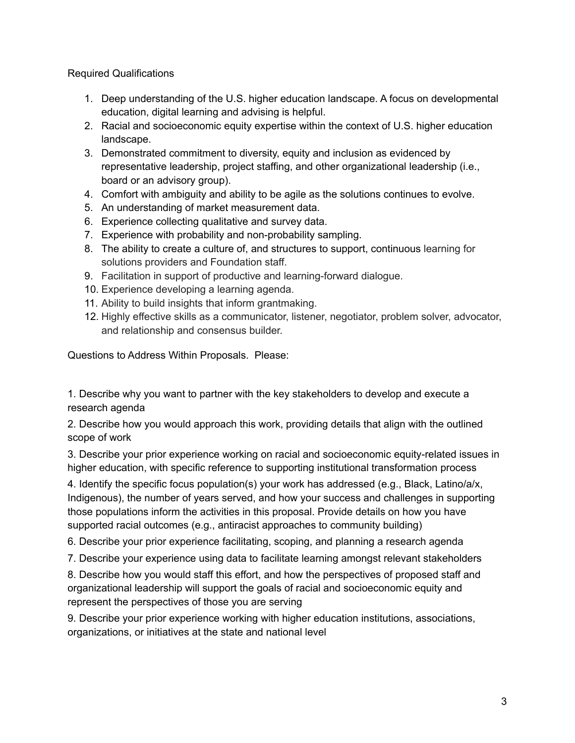Required Qualifications

- 1. Deep understanding of the U.S. higher education landscape. A focus on developmental education, digital learning and advising is helpful.
- 2. Racial and socioeconomic equity expertise within the context of U.S. higher education landscape.
- 3. Demonstrated commitment to diversity, equity and inclusion as evidenced by representative leadership, project staffing, and other organizational leadership (i.e., board or an advisory group).
- 4. Comfort with ambiguity and ability to be agile as the solutions continues to evolve.
- 5. An understanding of market measurement data.
- 6. Experience collecting qualitative and survey data.
- 7. Experience with probability and non-probability sampling.
- 8. The ability to create a culture of, and structures to support, continuous learning for solutions providers and Foundation staff.
- 9. Facilitation in support of productive and learning-forward dialogue.
- 10. Experience developing a learning agenda.
- 11. Ability to build insights that inform grantmaking.
- 12. Highly effective skills as a communicator, listener, negotiator, problem solver, advocator, and relationship and consensus builder.

Questions to Address Within Proposals. Please:

1. Describe why you want to partner with the key stakeholders to develop and execute a research agenda

2. Describe how you would approach this work, providing details that align with the outlined scope of work

3. Describe your prior experience working on racial and socioeconomic equity-related issues in higher education, with specific reference to supporting institutional transformation process

4. Identify the specific focus population(s) your work has addressed (e.g., Black, Latino/a/x, Indigenous), the number of years served, and how your success and challenges in supporting those populations inform the activities in this proposal. Provide details on how you have supported racial outcomes (e.g., antiracist approaches to community building)

6. Describe your prior experience facilitating, scoping, and planning a research agenda

7. Describe your experience using data to facilitate learning amongst relevant stakeholders

8. Describe how you would staff this effort, and how the perspectives of proposed staff and organizational leadership will support the goals of racial and socioeconomic equity and represent the perspectives of those you are serving

9. Describe your prior experience working with higher education institutions, associations, organizations, or initiatives at the state and national level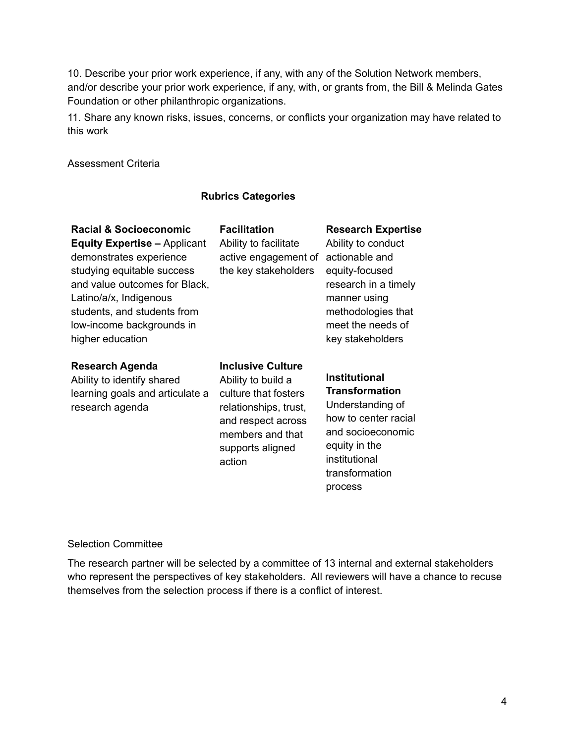10. Describe your prior work experience, if any, with any of the Solution Network members, and/or describe your prior work experience, if any, with, or grants from, the Bill & Melinda Gates Foundation or other philanthropic organizations.

11. Share any known risks, issues, concerns, or conflicts your organization may have related to this work

Assessment Criteria

### **Rubrics Categories**

| Racial & Socioeconomic<br><b>Equity Expertise - Applicant</b><br>demonstrates experience<br>studying equitable success<br>and value outcomes for Black,<br>Latino/a/x, Indigenous<br>students, and students from<br>low-income backgrounds in<br>higher education | <b>Facilitation</b><br>Ability to facilitate<br>active engagement of<br>the key stakeholders                                                                            | <b>Research Expertise</b><br>Ability to conduct<br>actionable and<br>equity-focused<br>research in a timely<br>manner using<br>methodologies that<br>meet the needs of<br>key stakeholders |
|-------------------------------------------------------------------------------------------------------------------------------------------------------------------------------------------------------------------------------------------------------------------|-------------------------------------------------------------------------------------------------------------------------------------------------------------------------|--------------------------------------------------------------------------------------------------------------------------------------------------------------------------------------------|
| <b>Research Agenda</b><br>Ability to identify shared<br>learning goals and articulate a<br>research agenda                                                                                                                                                        | <b>Inclusive Culture</b><br>Ability to build a<br>culture that fosters<br>relationships, trust,<br>and respect across<br>members and that<br>supports aligned<br>action | <b>Institutional</b><br><b>Transformation</b><br>Understanding of<br>how to center racial<br>and socioeconomic<br>equity in the<br>institutional<br>transformation<br>process              |

#### Selection Committee

The research partner will be selected by a committee of 13 internal and external stakeholders who represent the perspectives of key stakeholders. All reviewers will have a chance to recuse themselves from the selection process if there is a conflict of interest.